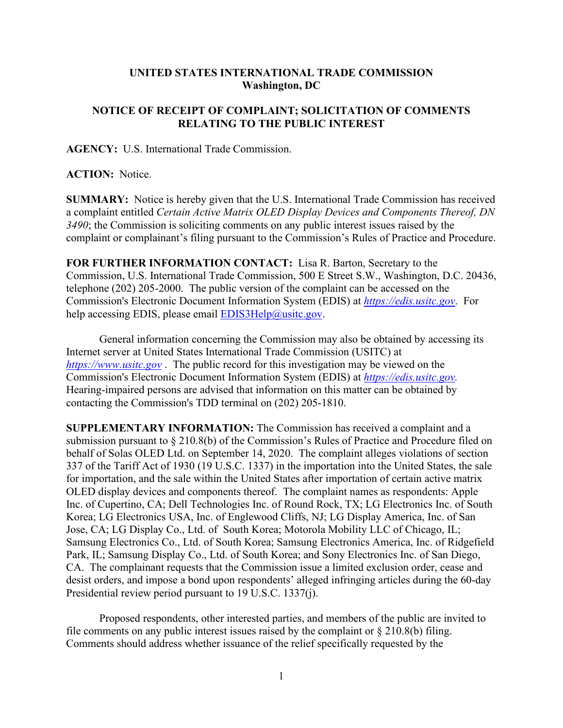## **UNITED STATES INTERNATIONAL TRADE COMMISSION Washington, DC**

## **NOTICE OF RECEIPT OF COMPLAINT; SOLICITATION OF COMMENTS RELATING TO THE PUBLIC INTEREST**

**AGENCY:** U.S. International Trade Commission.

**ACTION:** Notice.

**SUMMARY:** Notice is hereby given that the U.S. International Trade Commission has received a complaint entitled *Certain Active Matrix OLED Display Devices and Components Thereof, DN 3490*; the Commission is soliciting comments on any public interest issues raised by the complaint or complainant's filing pursuant to the Commission's Rules of Practice and Procedure.

**FOR FURTHER INFORMATION CONTACT:** Lisa R. Barton, Secretary to the Commission, U.S. International Trade Commission, 500 E Street S.W., Washington, D.C. 20436, telephone (202) 205-2000. The public version of the complaint can be accessed on the Commission's Electronic Document Information System (EDIS) at *[https://edis.usitc.gov](https://edis.usitc.gov/)*. For help accessing EDIS, please email [EDIS3Help@usitc.gov.](mailto:EDIS3Help@usitc.gov)

General information concerning the Commission may also be obtained by accessing its Internet server at United States International Trade Commission (USITC) at *[https://www.usitc.gov](https://www.usitc.gov/)* . The public record for this investigation may be viewed on the Commission's Electronic Document Information System (EDIS) at *[https://edis.usitc.gov.](https://edis.usitc.gov/)* Hearing-impaired persons are advised that information on this matter can be obtained by contacting the Commission's TDD terminal on (202) 205-1810.

**SUPPLEMENTARY INFORMATION:** The Commission has received a complaint and a submission pursuant to § 210.8(b) of the Commission's Rules of Practice and Procedure filed on behalf of Solas OLED Ltd. on September 14, 2020. The complaint alleges violations of section 337 of the Tariff Act of 1930 (19 U.S.C. 1337) in the importation into the United States, the sale for importation, and the sale within the United States after importation of certain active matrix OLED display devices and components thereof. The complaint names as respondents: Apple Inc. of Cupertino, CA; Dell Technologies Inc. of Round Rock, TX; LG Electronics Inc. of South Korea; LG Electronics USA, Inc. of Englewood Cliffs, NJ; LG Display America, Inc. of San Jose, CA; LG Display Co., Ltd. of South Korea; Motorola Mobility LLC of Chicago, IL; Samsung Electronics Co., Ltd. of South Korea; Samsung Electronics America, Inc. of Ridgefield Park, IL; Samsung Display Co., Ltd. of South Korea; and Sony Electronics Inc. of San Diego, CA. The complainant requests that the Commission issue a limited exclusion order, cease and desist orders, and impose a bond upon respondents' alleged infringing articles during the 60-day Presidential review period pursuant to 19 U.S.C. 1337(j).

Proposed respondents, other interested parties, and members of the public are invited to file comments on any public interest issues raised by the complaint or  $\S 210.8(b)$  filing. Comments should address whether issuance of the relief specifically requested by the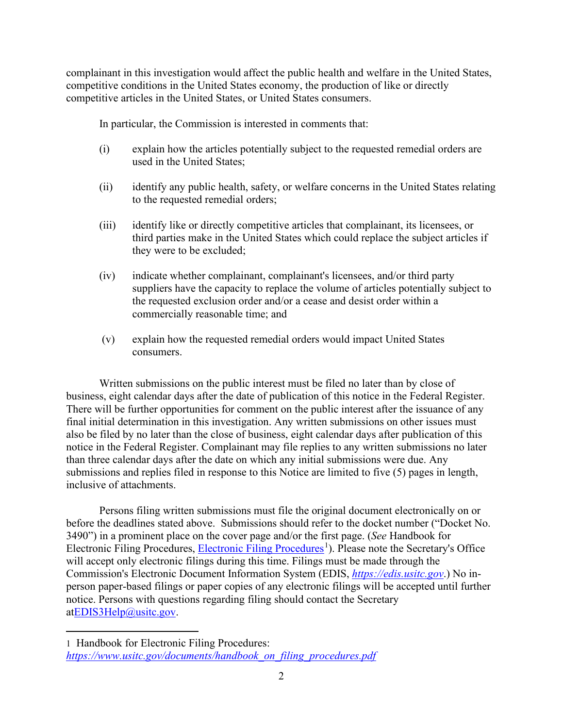complainant in this investigation would affect the public health and welfare in the United States, competitive conditions in the United States economy, the production of like or directly competitive articles in the United States, or United States consumers.

In particular, the Commission is interested in comments that:

- (i) explain how the articles potentially subject to the requested remedial orders are used in the United States;
- (ii) identify any public health, safety, or welfare concerns in the United States relating to the requested remedial orders;
- (iii) identify like or directly competitive articles that complainant, its licensees, or third parties make in the United States which could replace the subject articles if they were to be excluded;
- (iv) indicate whether complainant, complainant's licensees, and/or third party suppliers have the capacity to replace the volume of articles potentially subject to the requested exclusion order and/or a cease and desist order within a commercially reasonable time; and
- (v) explain how the requested remedial orders would impact United States consumers.

Written submissions on the public interest must be filed no later than by close of business, eight calendar days after the date of publication of this notice in the Federal Register. There will be further opportunities for comment on the public interest after the issuance of any final initial determination in this investigation. Any written submissions on other issues must also be filed by no later than the close of business, eight calendar days after publication of this notice in the Federal Register. Complainant may file replies to any written submissions no later than three calendar days after the date on which any initial submissions were due. Any submissions and replies filed in response to this Notice are limited to five (5) pages in length, inclusive of attachments.

Persons filing written submissions must file the original document electronically on or before the deadlines stated above. Submissions should refer to the docket number ("Docket No. 3490") in a prominent place on the cover page and/or the first page. (*See* Handbook for Electronic Filing Procedures, [Electronic Filing Procedures](https://www.usitc.gov/documents/handbook_on_filing_procedures.pdf)<sup>[1](#page-1-0)</sup>). Please note the Secretary's Office will accept only electronic filings during this time. Filings must be made through the Commission's Electronic Document Information System (EDIS, *[https://edis.usitc.gov](https://edis.usitc.gov/)*.) No inperson paper-based filings or paper copies of any electronic filings will be accepted until further notice. Persons with questions regarding filing should contact the Secretary a[tEDIS3Help@usitc.gov.](mailto:EDIS3Help@usitc.gov)

<span id="page-1-0"></span><sup>1</sup> Handbook for Electronic Filing Procedures: *[https://www.usitc.gov/documents/handbook\\_on\\_filing\\_procedures.pdf](https://www.usitc.gov/documents/handbook_on_filing_procedures.pdf)*